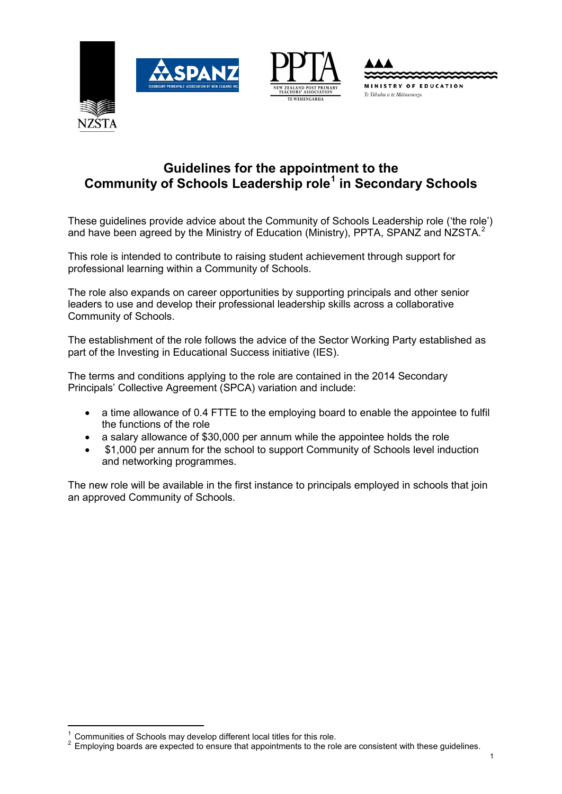





# **Guidelines for the appointment to the Community of Schools Leadership role[1](#page-0-0) in Secondary Schools**

These guidelines provide advice about the Community of Schools Leadership role ('the role') and have been agreed by the Ministry of Education (Ministry), PPTA, SPANZ and NZSTA.<sup>[2](#page-0-1)</sup>

This role is intended to contribute to raising student achievement through support for professional learning within a Community of Schools.

The role also expands on career opportunities by supporting principals and other senior leaders to use and develop their professional leadership skills across a collaborative Community of Schools.

The establishment of the role follows the advice of the Sector Working Party established as part of the Investing in Educational Success initiative (IES).

The terms and conditions applying to the role are contained in the 2014 Secondary Principals' Collective Agreement (SPCA) variation and include:

- a time allowance of 0.4 FTTE to the employing board to enable the appointee to fulfil the functions of the role
- a salary allowance of \$30,000 per annum while the appointee holds the role
- \$1,000 per annum for the school to support Community of Schools level induction and networking programmes.

The new role will be available in the first instance to principals employed in schools that join an approved Community of Schools.

<span id="page-0-0"></span><sup>&</sup>lt;sup>1</sup> Communities of Schools may develop different local titles for this role.<br><sup>2</sup> Employing boards are expected to ensure that appointments to the re-

<span id="page-0-1"></span><sup>&</sup>lt;sup>2</sup> Employing boards are expected to ensure that appointments to the role are consistent with these guidelines.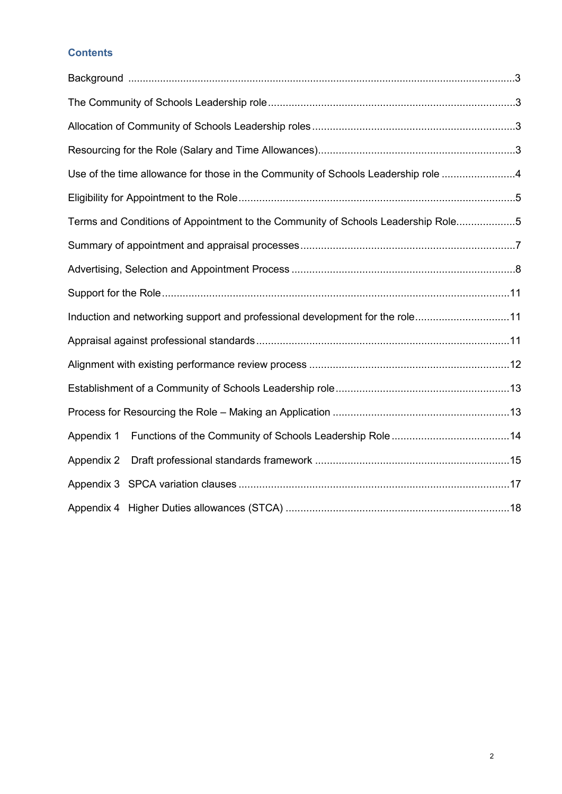# **Contents**

| Use of the time allowance for those in the Community of Schools Leadership role 4 |  |
|-----------------------------------------------------------------------------------|--|
|                                                                                   |  |
| Terms and Conditions of Appointment to the Community of Schools Leadership Role5  |  |
|                                                                                   |  |
|                                                                                   |  |
|                                                                                   |  |
| Induction and networking support and professional development for the role11      |  |
|                                                                                   |  |
|                                                                                   |  |
|                                                                                   |  |
|                                                                                   |  |
| Appendix 1                                                                        |  |
| Appendix 2                                                                        |  |
|                                                                                   |  |
|                                                                                   |  |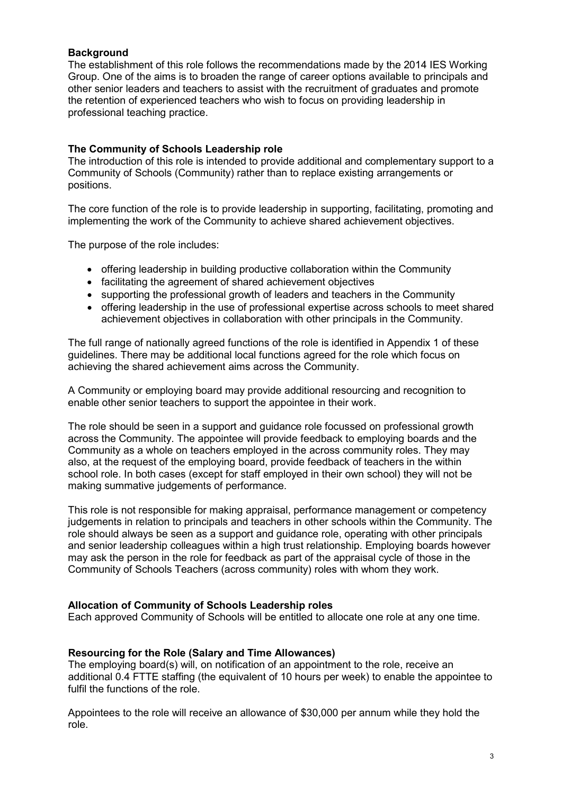#### <span id="page-2-0"></span>**Background**

The establishment of this role follows the recommendations made by the 2014 IES Working Group. One of the aims is to broaden the range of career options available to principals and other senior leaders and teachers to assist with the recruitment of graduates and promote the retention of experienced teachers who wish to focus on providing leadership in professional teaching practice.

#### <span id="page-2-1"></span>**The Community of Schools Leadership role**

The introduction of this role is intended to provide additional and complementary support to a Community of Schools (Community) rather than to replace existing arrangements or positions.

The core function of the role is to provide leadership in supporting, facilitating, promoting and implementing the work of the Community to achieve shared achievement objectives.

The purpose of the role includes:

- offering leadership in building productive collaboration within the Community
- facilitating the agreement of shared achievement objectives
- supporting the professional growth of leaders and teachers in the Community
- offering leadership in the use of professional expertise across schools to meet shared achievement objectives in collaboration with other principals in the Community.

The full range of nationally agreed functions of the role is identified in Appendix 1 of these guidelines. There may be additional local functions agreed for the role which focus on achieving the shared achievement aims across the Community.

A Community or employing board may provide additional resourcing and recognition to enable other senior teachers to support the appointee in their work.

The role should be seen in a support and guidance role focussed on professional growth across the Community. The appointee will provide feedback to employing boards and the Community as a whole on teachers employed in the across community roles. They may also, at the request of the employing board, provide feedback of teachers in the within school role. In both cases (except for staff employed in their own school) they will not be making summative judgements of performance.

This role is not responsible for making appraisal, performance management or competency judgements in relation to principals and teachers in other schools within the Community. The role should always be seen as a support and guidance role, operating with other principals and senior leadership colleagues within a high trust relationship. Employing boards however may ask the person in the role for feedback as part of the appraisal cycle of those in the Community of Schools Teachers (across community) roles with whom they work.

#### <span id="page-2-2"></span>**Allocation of Community of Schools Leadership roles**

Each approved Community of Schools will be entitled to allocate one role at any one time.

#### <span id="page-2-3"></span>**Resourcing for the Role (Salary and Time Allowances)**

The employing board(s) will, on notification of an appointment to the role, receive an additional 0.4 FTTE staffing (the equivalent of 10 hours per week) to enable the appointee to fulfil the functions of the role.

Appointees to the role will receive an allowance of \$30,000 per annum while they hold the role.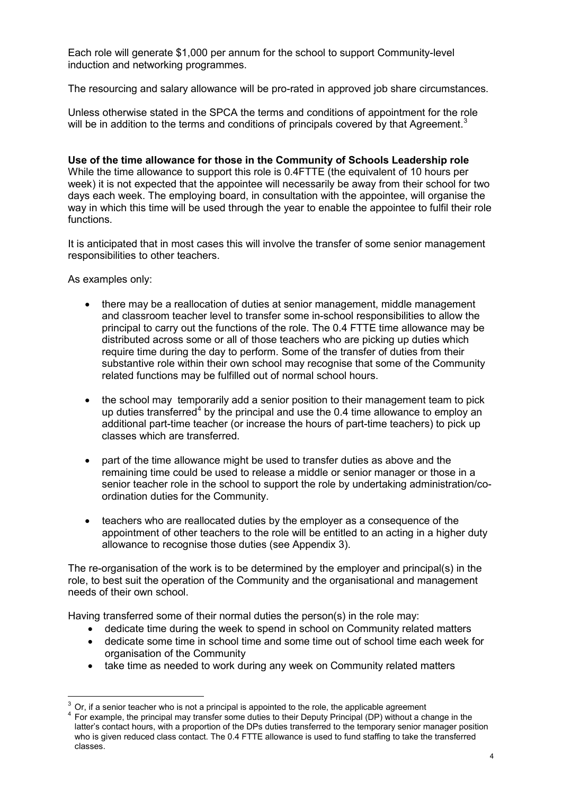Each role will generate \$1,000 per annum for the school to support Community-level induction and networking programmes.

The resourcing and salary allowance will be pro-rated in approved job share circumstances.

Unless otherwise stated in the SPCA the terms and conditions of appointment for the role will be in addition to the terms and conditions of principals covered by that Agreement.<sup>[3](#page-3-1)</sup>

<span id="page-3-0"></span>**Use of the time allowance for those in the Community of Schools Leadership role** While the time allowance to support this role is 0.4FTTE (the equivalent of 10 hours per week) it is not expected that the appointee will necessarily be away from their school for two days each week. The employing board, in consultation with the appointee, will organise the way in which this time will be used through the year to enable the appointee to fulfil their role functions.

It is anticipated that in most cases this will involve the transfer of some senior management responsibilities to other teachers.

As examples only:

-

- there may be a reallocation of duties at senior management, middle management and classroom teacher level to transfer some in-school responsibilities to allow the principal to carry out the functions of the role. The 0.4 FTTE time allowance may be distributed across some or all of those teachers who are picking up duties which require time during the day to perform. Some of the transfer of duties from their substantive role within their own school may recognise that some of the Community related functions may be fulfilled out of normal school hours.
- the school may temporarily add a senior position to their management team to pick up duties transferred<sup>[4](#page-3-2)</sup> by the principal and use the 0.4 time allowance to employ an additional part-time teacher (or increase the hours of part-time teachers) to pick up classes which are transferred.
- part of the time allowance might be used to transfer duties as above and the remaining time could be used to release a middle or senior manager or those in a senior teacher role in the school to support the role by undertaking administration/coordination duties for the Community.
- teachers who are reallocated duties by the employer as a consequence of the appointment of other teachers to the role will be entitled to an acting in a higher duty allowance to recognise those duties (see Appendix 3).

The re-organisation of the work is to be determined by the employer and principal(s) in the role, to best suit the operation of the Community and the organisational and management needs of their own school.

Having transferred some of their normal duties the person(s) in the role may:

- dedicate time during the week to spend in school on Community related matters
- dedicate some time in school time and some time out of school time each week for organisation of the Community
- take time as needed to work during any week on Community related matters

<span id="page-3-1"></span><sup>3</sup> Or, if a senior teacher who is not a principal is appointed to the role, the applicable agreement

<span id="page-3-2"></span>For example, the principal may transfer some duties to their Deputy Principal (DP) without a change in the latter's contact hours, with a proportion of the DPs duties transferred to the temporary senior manager position who is given reduced class contact. The 0.4 FTTE allowance is used to fund staffing to take the transferred classes.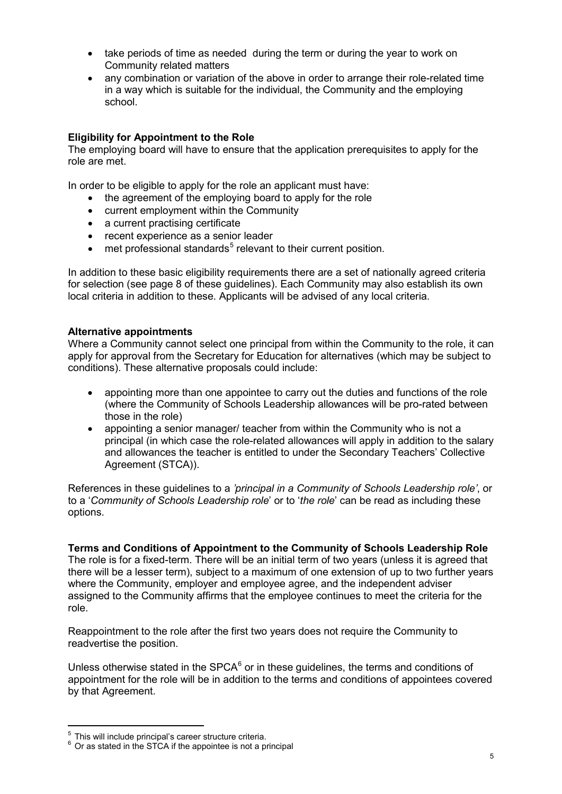- take periods of time as needed during the term or during the year to work on Community related matters
- any combination or variation of the above in order to arrange their role-related time in a way which is suitable for the individual, the Community and the employing school.

# <span id="page-4-0"></span>**Eligibility for Appointment to the Role**

The employing board will have to ensure that the application prerequisites to apply for the role are met.

In order to be eligible to apply for the role an applicant must have:

- the agreement of the employing board to apply for the role
- current employment within the Community
- a current practising certificate
- recent experience as a senior leader
- $\bullet$  met professional standards<sup>[5](#page-4-2)</sup> relevant to their current position.

In addition to these basic eligibility requirements there are a set of nationally agreed criteria for selection (see page 8 of these guidelines). Each Community may also establish its own local criteria in addition to these. Applicants will be advised of any local criteria.

#### **Alternative appointments**

Where a Community cannot select one principal from within the Community to the role, it can apply for approval from the Secretary for Education for alternatives (which may be subject to conditions). These alternative proposals could include:

- appointing more than one appointee to carry out the duties and functions of the role (where the Community of Schools Leadership allowances will be pro-rated between those in the role)
- appointing a senior manager/ teacher from within the Community who is not a principal (in which case the role-related allowances will apply in addition to the salary and allowances the teacher is entitled to under the Secondary Teachers' Collective Agreement (STCA)).

References in these guidelines to a *'principal in a Community of Schools Leadership role'*, or to a '*Community of Schools Leadership role*' or to '*the role*' can be read as including these options.

<span id="page-4-1"></span>**Terms and Conditions of Appointment to the Community of Schools Leadership Role** The role is for a fixed-term. There will be an initial term of two years (unless it is agreed that there will be a lesser term), subject to a maximum of one extension of up to two further years where the Community, employer and employee agree, and the independent adviser assigned to the Community affirms that the employee continues to meet the criteria for the role.

Reappointment to the role after the first two years does not require the Community to readvertise the position.

Unless otherwise stated in the SPCA $<sup>6</sup>$  $<sup>6</sup>$  $<sup>6</sup>$  or in these quidelines, the terms and conditions of</sup> appointment for the role will be in addition to the terms and conditions of appointees covered by that Agreement.

-

<sup>&</sup>lt;sup>5</sup> This will include principal's career structure criteria.

<span id="page-4-3"></span><span id="page-4-2"></span> $6$  Or as stated in the STCA if the appointee is not a principal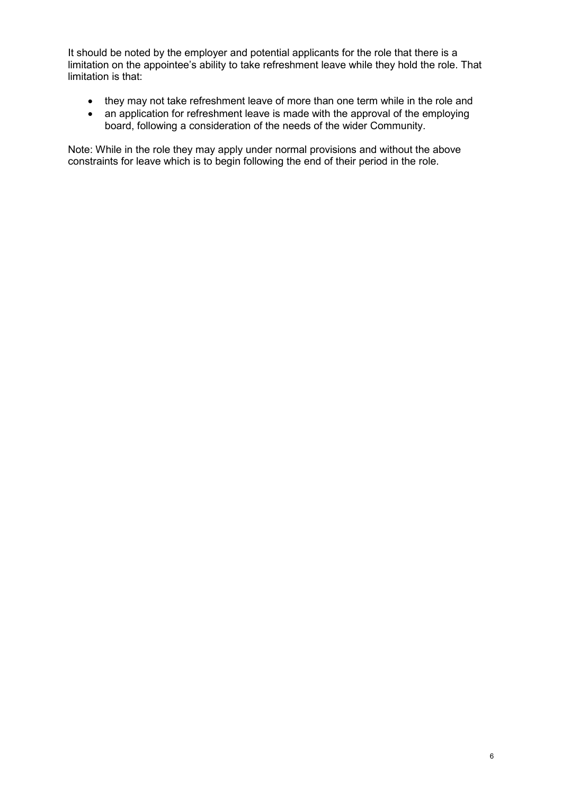It should be noted by the employer and potential applicants for the role that there is a limitation on the appointee's ability to take refreshment leave while they hold the role. That limitation is that:

- they may not take refreshment leave of more than one term while in the role and
- an application for refreshment leave is made with the approval of the employing board, following a consideration of the needs of the wider Community.

Note: While in the role they may apply under normal provisions and without the above constraints for leave which is to begin following the end of their period in the role.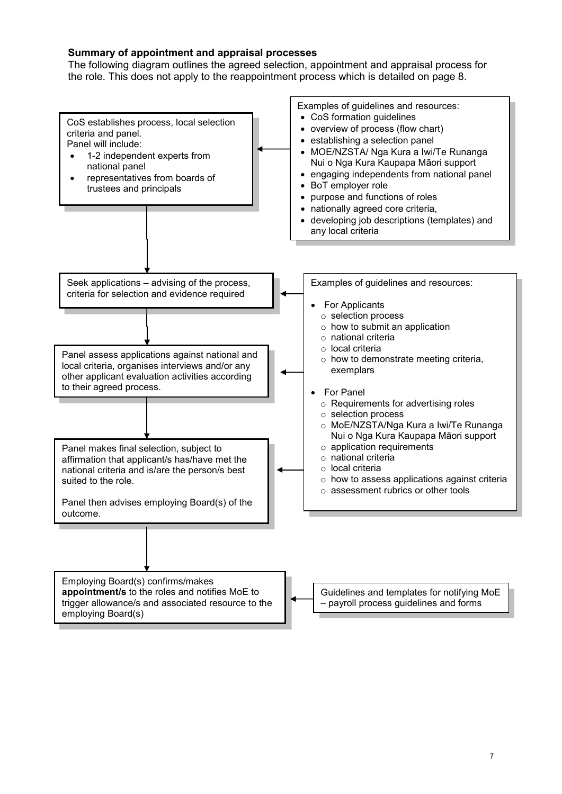### <span id="page-6-0"></span>**Summary of appointment and appraisal processes**

The following diagram outlines the agreed selection, appointment and appraisal process for the role. This does not apply to the reappointment process which is detailed on page 8.

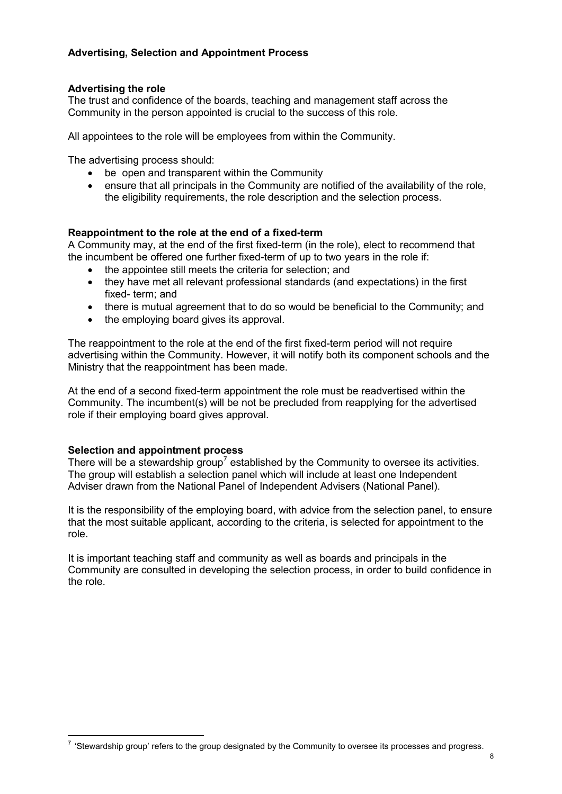# <span id="page-7-0"></span>**Advertising, Selection and Appointment Process**

#### **Advertising the role**

The trust and confidence of the boards, teaching and management staff across the Community in the person appointed is crucial to the success of this role.

All appointees to the role will be employees from within the Community.

The advertising process should:

- be open and transparent within the Community
- ensure that all principals in the Community are notified of the availability of the role. the eligibility requirements, the role description and the selection process.

#### **Reappointment to the role at the end of a fixed-term**

A Community may, at the end of the first fixed-term (in the role), elect to recommend that the incumbent be offered one further fixed-term of up to two years in the role if:

- the appointee still meets the criteria for selection; and
- they have met all relevant professional standards (and expectations) in the first fixed- term; and
- there is mutual agreement that to do so would be beneficial to the Community; and
- the employing board gives its approval.

The reappointment to the role at the end of the first fixed-term period will not require advertising within the Community. However, it will notify both its component schools and the Ministry that the reappointment has been made.

At the end of a second fixed-term appointment the role must be readvertised within the Community. The incumbent(s) will be not be precluded from reapplying for the advertised role if their employing board gives approval.

#### **Selection and appointment process**

-

There will be a stewardship group<sup>[7](#page-7-1)</sup> established by the Community to oversee its activities. The group will establish a selection panel which will include at least one Independent Adviser drawn from the National Panel of Independent Advisers (National Panel).

It is the responsibility of the employing board, with advice from the selection panel, to ensure that the most suitable applicant, according to the criteria, is selected for appointment to the role.

It is important teaching staff and community as well as boards and principals in the Community are consulted in developing the selection process, in order to build confidence in the role.

<span id="page-7-1"></span> $7$  'Stewardship group' refers to the group designated by the Community to oversee its processes and progress.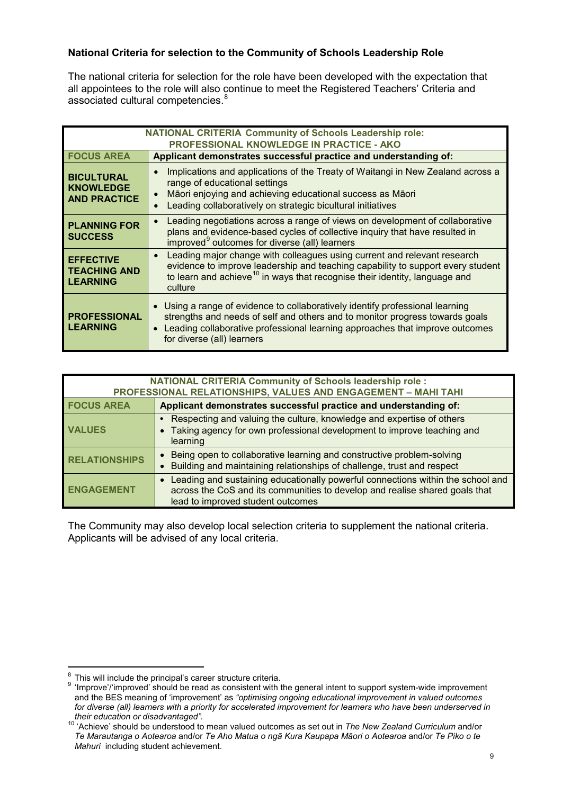# **National Criteria for selection to the Community of Schools Leadership Role**

The national criteria for selection for the role have been developed with the expectation that all appointees to the role will also continue to meet the Registered Teachers' Criteria and associated cultural competencies.<sup>[8](#page-8-0)</sup>

| <b>NATIONAL CRITERIA Community of Schools Leadership role:</b>                                                                           |                                                                                                                                                                                                                                                                                     |  |
|------------------------------------------------------------------------------------------------------------------------------------------|-------------------------------------------------------------------------------------------------------------------------------------------------------------------------------------------------------------------------------------------------------------------------------------|--|
| <b>PROFESSIONAL KNOWLEDGE IN PRACTICE - AKO</b><br><b>FOCUS AREA</b><br>Applicant demonstrates successful practice and understanding of: |                                                                                                                                                                                                                                                                                     |  |
|                                                                                                                                          |                                                                                                                                                                                                                                                                                     |  |
| <b>BICULTURAL</b><br><b>KNOWLEDGE</b><br><b>AND PRACTICE</b>                                                                             | Implications and applications of the Treaty of Waitangi in New Zealand across a<br>$\bullet$<br>range of educational settings<br>Māori enjoying and achieving educational success as Māori<br>$\bullet$<br>Leading collaboratively on strategic bicultural initiatives<br>$\bullet$ |  |
| <b>PLANNING FOR</b><br><b>SUCCESS</b>                                                                                                    | Leading negotiations across a range of views on development of collaborative<br>$\bullet$<br>plans and evidence-based cycles of collective inquiry that have resulted in<br>improved <sup>9</sup> outcomes for diverse (all) learners                                               |  |
| <b>EFFECTIVE</b><br><b>TEACHING AND</b><br><b>LEARNING</b>                                                                               | Leading major change with colleagues using current and relevant research<br>$\bullet$<br>evidence to improve leadership and teaching capability to support every student<br>to learn and achieve <sup>10</sup> in ways that recognise their identity, language and<br>culture       |  |
| <b>PROFESSIONAL</b><br><b>LEARNING</b>                                                                                                   | • Using a range of evidence to collaboratively identify professional learning<br>strengths and needs of self and others and to monitor progress towards goals<br>Leading collaborative professional learning approaches that improve outcomes<br>for diverse (all) learners         |  |

| <b>NATIONAL CRITERIA Community of Schools leadership role:</b><br>PROFESSIONAL RELATIONSHIPS, VALUES AND ENGAGEMENT - MAHI TAHI |                                                                                                                                                                                                                  |
|---------------------------------------------------------------------------------------------------------------------------------|------------------------------------------------------------------------------------------------------------------------------------------------------------------------------------------------------------------|
| <b>FOCUS AREA</b>                                                                                                               | Applicant demonstrates successful practice and understanding of:                                                                                                                                                 |
| <b>VALUES</b>                                                                                                                   | Respecting and valuing the culture, knowledge and expertise of others<br>Taking agency for own professional development to improve teaching and<br>learning                                                      |
| <b>RELATIONSHIPS</b>                                                                                                            | Being open to collaborative learning and constructive problem-solving<br>Building and maintaining relationships of challenge, trust and respect                                                                  |
| <b>ENGAGEMENT</b>                                                                                                               | Leading and sustaining educationally powerful connections within the school and<br>$\bullet$<br>across the CoS and its communities to develop and realise shared goals that<br>lead to improved student outcomes |

The Community may also develop local selection criteria to supplement the national criteria. Applicants will be advised of any local criteria.

<sup>&</sup>lt;sup>8</sup> This will include the principal's career structure criteria.<br><sup>9</sup> 'Improve'/'improved' should be read as consistent with t -

<span id="page-8-1"></span><span id="page-8-0"></span>Improve'/'improved' should be read as consistent with the general intent to support system-wide improvement and the BES meaning of 'improvement' as *"optimising ongoing educational improvement in valued outcomes for diverse (all) learners with a priority for accelerated improvement for learners who have been underserved in their education or disadvantaged".* <sup>10</sup> 'Achieve' should be understood to mean valued outcomes as set out in *The New Zealand Curriculum* and/or

<span id="page-8-2"></span>*Te Marautanga o Aotearoa* and/or *Te Aho Matua o ngā Kura Kaupapa Māori o Aotearoa* and/or *Te Piko o te Mahuri* including student achievement.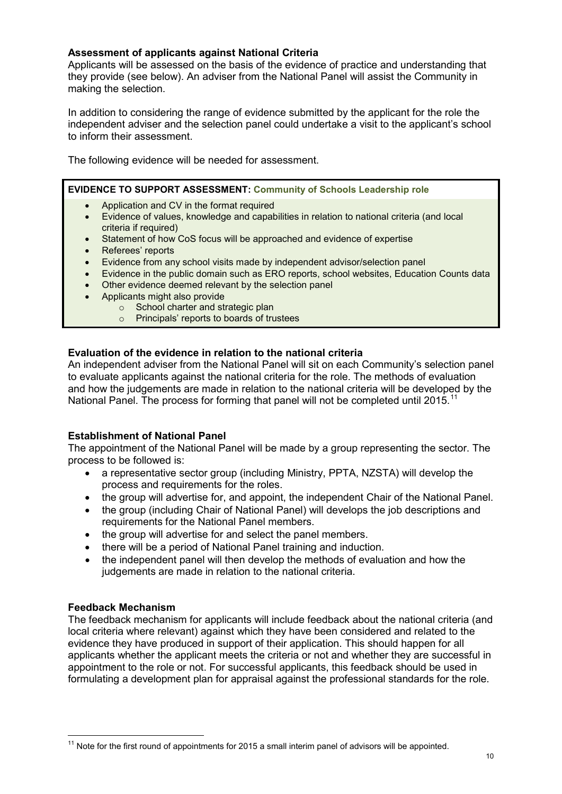## **Assessment of applicants against National Criteria**

Applicants will be assessed on the basis of the evidence of practice and understanding that they provide (see below). An adviser from the National Panel will assist the Community in making the selection.

In addition to considering the range of evidence submitted by the applicant for the role the independent adviser and the selection panel could undertake a visit to the applicant's school to inform their assessment.

The following evidence will be needed for assessment.

## **EVIDENCE TO SUPPORT ASSESSMENT: Community of Schools Leadership role**

- Application and CV in the format required
- Evidence of values, knowledge and capabilities in relation to national criteria (and local criteria if required)
- Statement of how CoS focus will be approached and evidence of expertise
- Referees' reports
- Evidence from any school visits made by independent advisor/selection panel
- Evidence in the public domain such as ERO reports, school websites, Education Counts data
- Other evidence deemed relevant by the selection panel
- Applicants might also provide
	- School charter and strategic plan<br>○ Principals' reports to boards of tru
	- Principals' reports to boards of trustees

#### **Evaluation of the evidence in relation to the national criteria**

An independent adviser from the National Panel will sit on each Community's selection panel to evaluate applicants against the national criteria for the role. The methods of evaluation and how the judgements are made in relation to the national criteria will be developed by the National Panel. The process for forming that panel will not be completed until 2015.<sup>11</sup>

#### **Establishment of National Panel**

The appointment of the National Panel will be made by a group representing the sector. The process to be followed is:

- a representative sector group (including Ministry, PPTA, NZSTA) will develop the process and requirements for the roles.
- the group will advertise for, and appoint, the independent Chair of the National Panel.
- the group (including Chair of National Panel) will develops the job descriptions and requirements for the National Panel members.
- the group will advertise for and select the panel members.
- there will be a period of National Panel training and induction.
- the independent panel will then develop the methods of evaluation and how the judgements are made in relation to the national criteria.

#### **Feedback Mechanism**

-

The feedback mechanism for applicants will include feedback about the national criteria (and local criteria where relevant) against which they have been considered and related to the evidence they have produced in support of their application. This should happen for all applicants whether the applicant meets the criteria or not and whether they are successful in appointment to the role or not. For successful applicants, this feedback should be used in formulating a development plan for appraisal against the professional standards for the role.

<span id="page-9-0"></span> $11$  Note for the first round of appointments for 2015 a small interim panel of advisors will be appointed.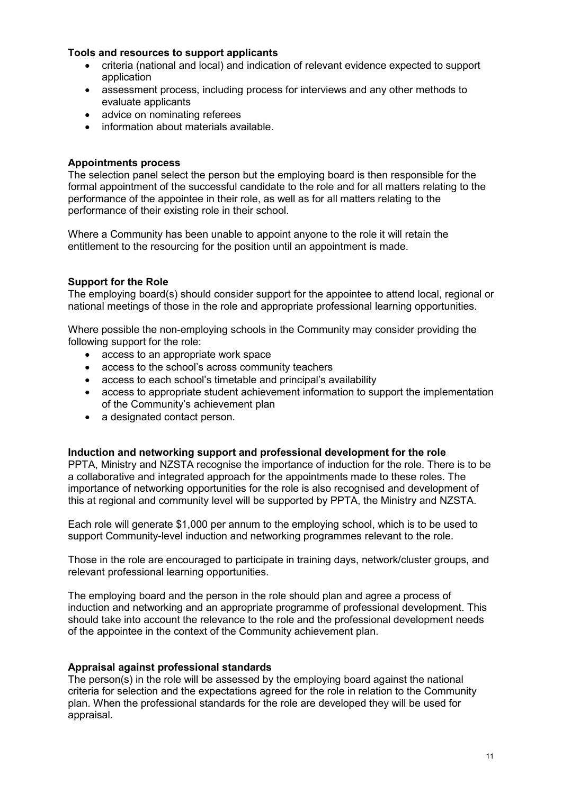#### **Tools and resources to support applicants**

- criteria (national and local) and indication of relevant evidence expected to support application
- assessment process, including process for interviews and any other methods to evaluate applicants
- advice on nominating referees
- information about materials available.

#### **Appointments process**

The selection panel select the person but the employing board is then responsible for the formal appointment of the successful candidate to the role and for all matters relating to the performance of the appointee in their role, as well as for all matters relating to the performance of their existing role in their school.

Where a Community has been unable to appoint anyone to the role it will retain the entitlement to the resourcing for the position until an appointment is made.

#### <span id="page-10-0"></span>**Support for the Role**

The employing board(s) should consider support for the appointee to attend local, regional or national meetings of those in the role and appropriate professional learning opportunities.

Where possible the non-employing schools in the Community may consider providing the following support for the role:

- access to an appropriate work space
- access to the school's across community teachers
- access to each school's timetable and principal's availability
- access to appropriate student achievement information to support the implementation of the Community's achievement plan
- a designated contact person.

#### <span id="page-10-1"></span>**Induction and networking support and professional development for the role**

PPTA, Ministry and NZSTA recognise the importance of induction for the role. There is to be a collaborative and integrated approach for the appointments made to these roles. The importance of networking opportunities for the role is also recognised and development of this at regional and community level will be supported by PPTA, the Ministry and NZSTA.

Each role will generate \$1,000 per annum to the employing school, which is to be used to support Community-level induction and networking programmes relevant to the role.

Those in the role are encouraged to participate in training days, network/cluster groups, and relevant professional learning opportunities.

The employing board and the person in the role should plan and agree a process of induction and networking and an appropriate programme of professional development. This should take into account the relevance to the role and the professional development needs of the appointee in the context of the Community achievement plan.

#### <span id="page-10-2"></span>**Appraisal against professional standards**

The person(s) in the role will be assessed by the employing board against the national criteria for selection and the expectations agreed for the role in relation to the Community plan. When the professional standards for the role are developed they will be used for appraisal.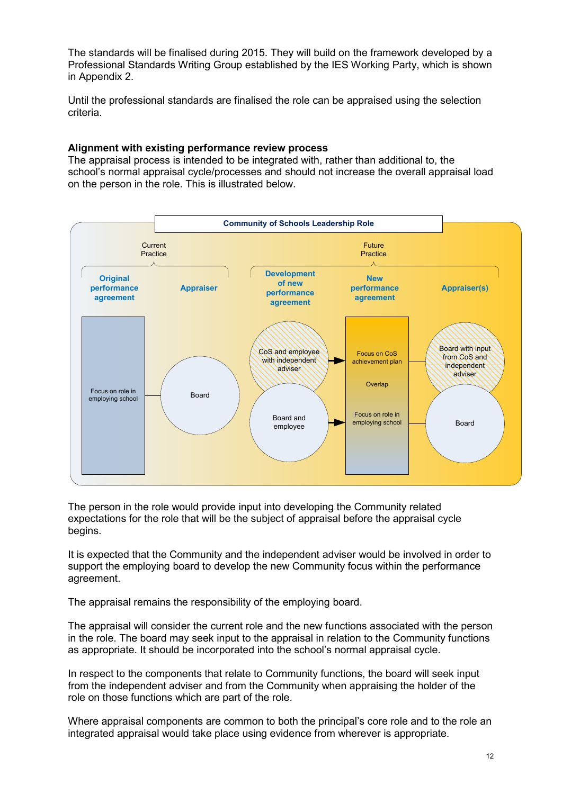The standards will be finalised during 2015. They will build on the framework developed by a Professional Standards Writing Group established by the IES Working Party, which is shown in Appendix 2.

Until the professional standards are finalised the role can be appraised using the selection criteria.

#### <span id="page-11-0"></span>**Alignment with existing performance review process**

The appraisal process is intended to be integrated with, rather than additional to, the school's normal appraisal cycle/processes and should not increase the overall appraisal load on the person in the role. This is illustrated below.



The person in the role would provide input into developing the Community related expectations for the role that will be the subject of appraisal before the appraisal cycle begins.

It is expected that the Community and the independent adviser would be involved in order to support the employing board to develop the new Community focus within the performance agreement.

The appraisal remains the responsibility of the employing board.

The appraisal will consider the current role and the new functions associated with the person in the role. The board may seek input to the appraisal in relation to the Community functions as appropriate. It should be incorporated into the school's normal appraisal cycle.

In respect to the components that relate to Community functions, the board will seek input from the independent adviser and from the Community when appraising the holder of the role on those functions which are part of the role.

Where appraisal components are common to both the principal's core role and to the role an integrated appraisal would take place using evidence from wherever is appropriate.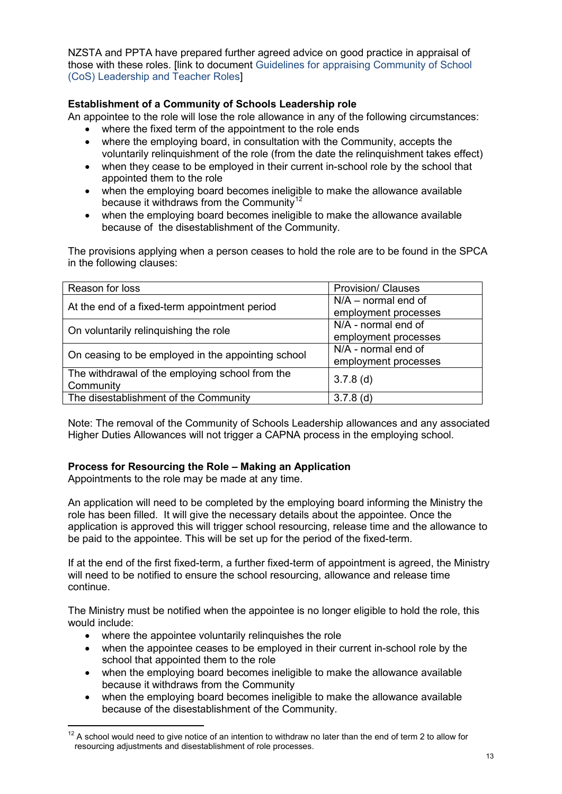NZSTA and PPTA have prepared further agreed advice on good practice in appraisal of those with these roles. [link to document Guidelines for appraising Community of School (CoS) Leadership and Teacher Roles]

# <span id="page-12-0"></span>**Establishment of a Community of Schools Leadership role**

An appointee to the role will lose the role allowance in any of the following circumstances:

- where the fixed term of the appointment to the role ends
- where the employing board, in consultation with the Community, accepts the voluntarily relinquishment of the role (from the date the relinquishment takes effect)
- when they cease to be employed in their current in-school role by the school that appointed them to the role
- when the employing board becomes ineligible to make the allowance available because it withdraws from the Community<sup>[12](#page-12-2)</sup>
- when the employing board becomes ineligible to make the allowance available because of the disestablishment of the Community.

The provisions applying when a person ceases to hold the role are to be found in the SPCA in the following clauses:

| Reason for loss                                    | <b>Provision/ Clauses</b> |
|----------------------------------------------------|---------------------------|
| At the end of a fixed-term appointment period      | $N/A$ – normal end of     |
|                                                    | employment processes      |
| On voluntarily relinquishing the role              | N/A - normal end of       |
|                                                    | employment processes      |
| On ceasing to be employed in the appointing school | N/A - normal end of       |
|                                                    | employment processes      |
| The withdrawal of the employing school from the    | $3.7.8$ (d)               |
| Community                                          |                           |
| The disestablishment of the Community              | $3.7.8$ (d)               |

Note: The removal of the Community of Schools Leadership allowances and any associated Higher Duties Allowances will not trigger a CAPNA process in the employing school.

# <span id="page-12-1"></span>**Process for Resourcing the Role – Making an Application**

Appointments to the role may be made at any time.

An application will need to be completed by the employing board informing the Ministry the role has been filled. It will give the necessary details about the appointee. Once the application is approved this will trigger school resourcing, release time and the allowance to be paid to the appointee. This will be set up for the period of the fixed-term.

If at the end of the first fixed-term, a further fixed-term of appointment is agreed, the Ministry will need to be notified to ensure the school resourcing, allowance and release time continue.

The Ministry must be notified when the appointee is no longer eligible to hold the role, this would include:

• where the appointee voluntarily relinquishes the role

-

- when the appointee ceases to be employed in their current in-school role by the school that appointed them to the role
- when the employing board becomes ineligible to make the allowance available because it withdraws from the Community
- when the employing board becomes ineligible to make the allowance available because of the disestablishment of the Community.

<span id="page-12-2"></span> $12$  A school would need to give notice of an intention to withdraw no later than the end of term 2 to allow for resourcing adjustments and disestablishment of role processes.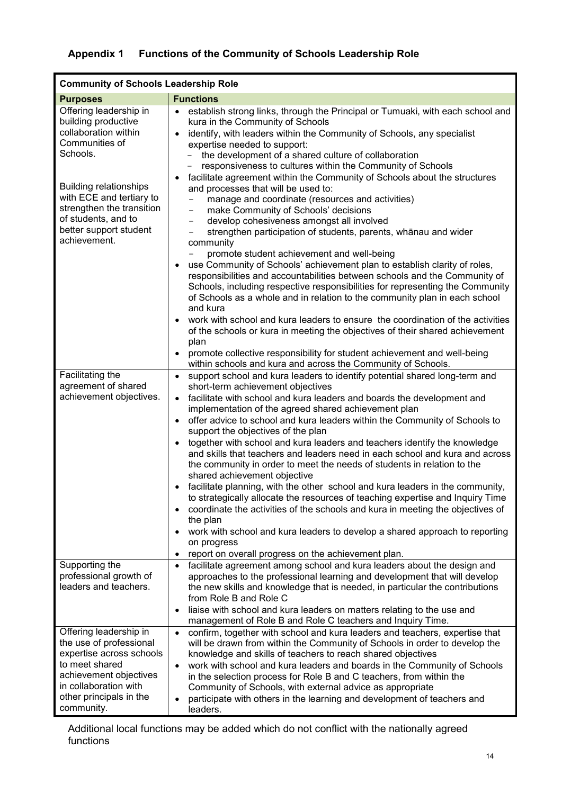# <span id="page-13-0"></span>**Appendix 1 Functions of the Community of Schools Leadership Role**

| <b>Community of Schools Leadership Role</b>                                                                                                                                                                                                                                       |                                                                                                                                                                                                                                                                                                                                                                                                                                                                                                                                                                                                                                                                                                                                                                                                                                                                                                                                                                                                                                                                                                                                                                                                                                                                                                                                          |  |
|-----------------------------------------------------------------------------------------------------------------------------------------------------------------------------------------------------------------------------------------------------------------------------------|------------------------------------------------------------------------------------------------------------------------------------------------------------------------------------------------------------------------------------------------------------------------------------------------------------------------------------------------------------------------------------------------------------------------------------------------------------------------------------------------------------------------------------------------------------------------------------------------------------------------------------------------------------------------------------------------------------------------------------------------------------------------------------------------------------------------------------------------------------------------------------------------------------------------------------------------------------------------------------------------------------------------------------------------------------------------------------------------------------------------------------------------------------------------------------------------------------------------------------------------------------------------------------------------------------------------------------------|--|
| <b>Functions</b>                                                                                                                                                                                                                                                                  |                                                                                                                                                                                                                                                                                                                                                                                                                                                                                                                                                                                                                                                                                                                                                                                                                                                                                                                                                                                                                                                                                                                                                                                                                                                                                                                                          |  |
| <b>Purposes</b><br>Offering leadership in<br>building productive<br>collaboration within<br>Communities of<br>Schools.<br><b>Building relationships</b><br>with ECE and tertiary to<br>strengthen the transition<br>of students, and to<br>better support student<br>achievement. | establish strong links, through the Principal or Tumuaki, with each school and<br>$\bullet$<br>kura in the Community of Schools<br>identify, with leaders within the Community of Schools, any specialist<br>$\bullet$<br>expertise needed to support:<br>the development of a shared culture of collaboration<br>responsiveness to cultures within the Community of Schools<br>facilitate agreement within the Community of Schools about the structures<br>and processes that will be used to:<br>manage and coordinate (resources and activities)<br>make Community of Schools' decisions<br>$\qquad \qquad -$<br>develop cohesiveness amongst all involved<br>$\overline{\phantom{0}}$<br>strengthen participation of students, parents, whānau and wider<br>community<br>promote student achievement and well-being<br>use Community of Schools' achievement plan to establish clarity of roles,<br>responsibilities and accountabilities between schools and the Community of<br>Schools, including respective responsibilities for representing the Community<br>of Schools as a whole and in relation to the community plan in each school<br>and kura<br>work with school and kura leaders to ensure the coordination of the activities<br>of the schools or kura in meeting the objectives of their shared achievement<br>plan |  |
|                                                                                                                                                                                                                                                                                   | promote collective responsibility for student achievement and well-being                                                                                                                                                                                                                                                                                                                                                                                                                                                                                                                                                                                                                                                                                                                                                                                                                                                                                                                                                                                                                                                                                                                                                                                                                                                                 |  |
| Facilitating the<br>agreement of shared<br>achievement objectives.                                                                                                                                                                                                                | within schools and kura and across the Community of Schools.<br>support school and kura leaders to identify potential shared long-term and<br>short-term achievement objectives<br>facilitate with school and kura leaders and boards the development and<br>$\bullet$<br>implementation of the agreed shared achievement plan<br>offer advice to school and kura leaders within the Community of Schools to<br>$\bullet$<br>support the objectives of the plan<br>together with school and kura leaders and teachers identify the knowledge<br>and skills that teachers and leaders need in each school and kura and across<br>the community in order to meet the needs of students in relation to the<br>shared achievement objective<br>facilitate planning, with the other school and kura leaders in the community,<br>to strategically allocate the resources of teaching expertise and Inquiry Time<br>coordinate the activities of the schools and kura in meeting the objectives of<br>the plan<br>work with school and kura leaders to develop a shared approach to reporting<br>on progress<br>report on overall progress on the achievement plan.                                                                                                                                                                            |  |
| Supporting the<br>professional growth of<br>leaders and teachers.<br>Offering leadership in<br>the use of professional<br>expertise across schools<br>to meet shared<br>achievement objectives<br>in collaboration with                                                           | facilitate agreement among school and kura leaders about the design and<br>$\bullet$<br>approaches to the professional learning and development that will develop<br>the new skills and knowledge that is needed, in particular the contributions<br>from Role B and Role C<br>liaise with school and kura leaders on matters relating to the use and<br>$\bullet$<br>management of Role B and Role C teachers and Inquiry Time.<br>confirm, together with school and kura leaders and teachers, expertise that<br>$\bullet$<br>will be drawn from within the Community of Schools in order to develop the<br>knowledge and skills of teachers to reach shared objectives<br>work with school and kura leaders and boards in the Community of Schools<br>$\bullet$<br>in the selection process for Role B and C teachers, from within the<br>Community of Schools, with external advice as appropriate                                                                                                                                                                                                                                                                                                                                                                                                                                   |  |
| other principals in the<br>community.                                                                                                                                                                                                                                             | participate with others in the learning and development of teachers and<br>$\bullet$<br>leaders.                                                                                                                                                                                                                                                                                                                                                                                                                                                                                                                                                                                                                                                                                                                                                                                                                                                                                                                                                                                                                                                                                                                                                                                                                                         |  |

Additional local functions may be added which do not conflict with the nationally agreed functions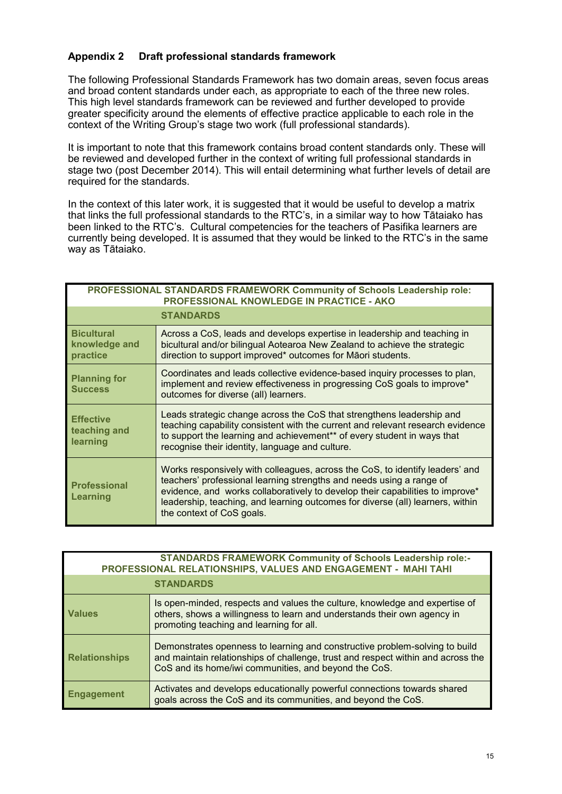# <span id="page-14-0"></span>**Appendix 2 Draft professional standards framework**

The following Professional Standards Framework has two domain areas, seven focus areas and broad content standards under each, as appropriate to each of the three new roles. This high level standards framework can be reviewed and further developed to provide greater specificity around the elements of effective practice applicable to each role in the context of the Writing Group's stage two work (full professional standards).

It is important to note that this framework contains broad content standards only. These will be reviewed and developed further in the context of writing full professional standards in stage two (post December 2014). This will entail determining what further levels of detail are required for the standards.

In the context of this later work, it is suggested that it would be useful to develop a matrix that links the full professional standards to the RTC's, in a similar way to how Tātaiako has been linked to the RTC's. Cultural competencies for the teachers of Pasifika learners are currently being developed. It is assumed that they would be linked to the RTC's in the same way as Tātaiako.

| PROFESSIONAL STANDARDS FRAMEWORK Community of Schools Leadership role:<br><b>PROFESSIONAL KNOWLEDGE IN PRACTICE - AKO</b> |                                                                                                                                                                                                                                                                                                                                                      |
|---------------------------------------------------------------------------------------------------------------------------|------------------------------------------------------------------------------------------------------------------------------------------------------------------------------------------------------------------------------------------------------------------------------------------------------------------------------------------------------|
|                                                                                                                           | <b>STANDARDS</b>                                                                                                                                                                                                                                                                                                                                     |
| <b>Bicultural</b><br>knowledge and<br>practice                                                                            | Across a CoS, leads and develops expertise in leadership and teaching in<br>bicultural and/or bilingual Aotearoa New Zealand to achieve the strategic<br>direction to support improved* outcomes for Māori students.                                                                                                                                 |
| <b>Planning for</b><br><b>Success</b>                                                                                     | Coordinates and leads collective evidence-based inquiry processes to plan,<br>implement and review effectiveness in progressing CoS goals to improve*<br>outcomes for diverse (all) learners.                                                                                                                                                        |
| <b>Effective</b><br>teaching and<br>learning                                                                              | Leads strategic change across the CoS that strengthens leadership and<br>teaching capability consistent with the current and relevant research evidence<br>to support the learning and achievement** of every student in ways that<br>recognise their identity, language and culture.                                                                |
| <b>Professional</b><br>Learning                                                                                           | Works responsively with colleagues, across the CoS, to identify leaders' and<br>teachers' professional learning strengths and needs using a range of<br>evidence, and works collaboratively to develop their capabilities to improve*<br>leadership, teaching, and learning outcomes for diverse (all) learners, within<br>the context of CoS goals. |

| <b>STANDARDS FRAMEWORK Community of Schools Leadership role:-</b><br>PROFESSIONAL RELATIONSHIPS, VALUES AND ENGAGEMENT - MAHI TAHI |                                                                                                                                                                                                                          |  |
|------------------------------------------------------------------------------------------------------------------------------------|--------------------------------------------------------------------------------------------------------------------------------------------------------------------------------------------------------------------------|--|
| <b>STANDARDS</b>                                                                                                                   |                                                                                                                                                                                                                          |  |
| <b>Values</b>                                                                                                                      | Is open-minded, respects and values the culture, knowledge and expertise of<br>others, shows a willingness to learn and understands their own agency in<br>promoting teaching and learning for all.                      |  |
| <b>Relationships</b>                                                                                                               | Demonstrates openness to learning and constructive problem-solving to build<br>and maintain relationships of challenge, trust and respect within and across the<br>CoS and its home/iwi communities, and beyond the CoS. |  |
| <b>Engagement</b>                                                                                                                  | Activates and develops educationally powerful connections towards shared<br>goals across the CoS and its communities, and beyond the CoS.                                                                                |  |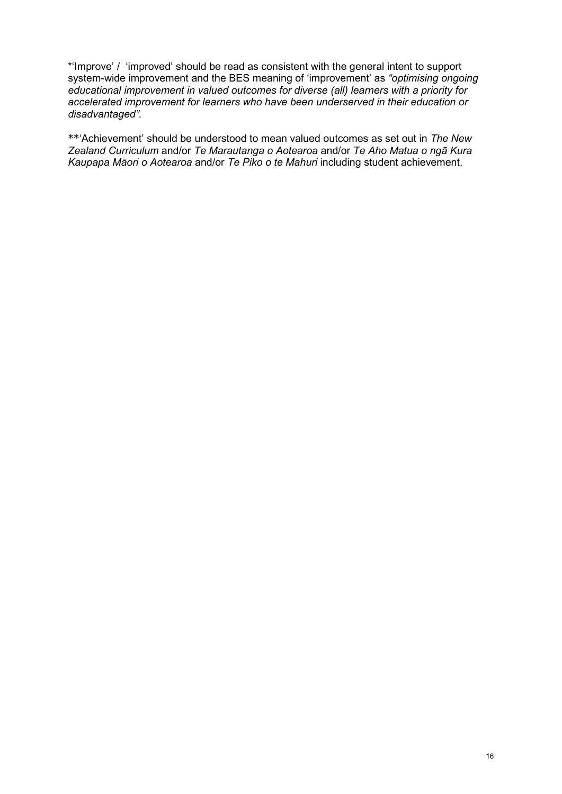\*'Improve' / 'improved' should be read as consistent with the general intent to support system-wide improvement and the BES meaning of 'improvement' as *"optimising ongoing educational improvement in valued outcomes for diverse (all) learners with a priority for accelerated improvement for learners who have been underserved in their education or disadvantaged".*

\*\*'Achievement' should be understood to mean valued outcomes as set out in *The New Zealand Curriculum* and/or *Te Marautanga o Aotearoa* and/or *Te Aho Matua o ngā Kura Kaupapa Māori o Aotearoa* and/or *Te Piko o te Mahuri* including student achievement.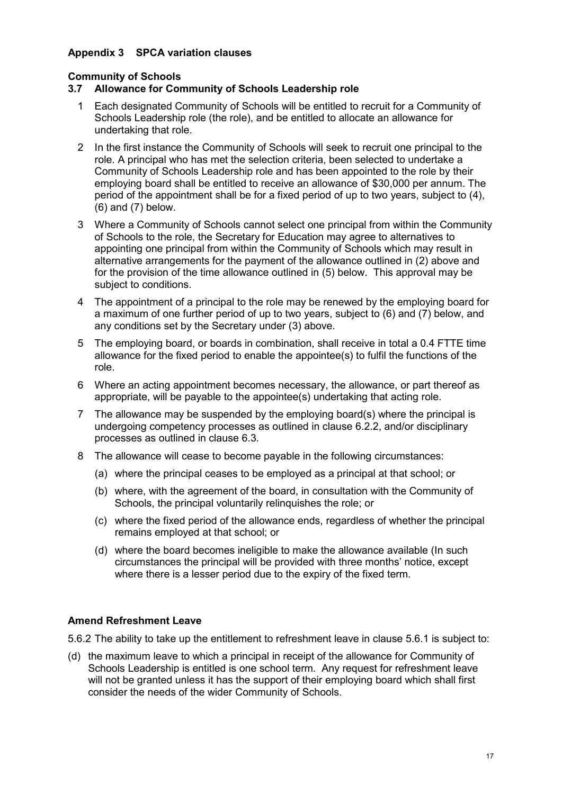# <span id="page-16-0"></span>**Appendix 3 SPCA variation clauses**

# **Community of Schools**

# **3.7 Allowance for Community of Schools Leadership role**

- 1 Each designated Community of Schools will be entitled to recruit for a Community of Schools Leadership role (the role), and be entitled to allocate an allowance for undertaking that role.
- 2 In the first instance the Community of Schools will seek to recruit one principal to the role. A principal who has met the selection criteria, been selected to undertake a Community of Schools Leadership role and has been appointed to the role by their employing board shall be entitled to receive an allowance of \$30,000 per annum. The period of the appointment shall be for a fixed period of up to two years, subject to (4), (6) and (7) below.
- 3 Where a Community of Schools cannot select one principal from within the Community of Schools to the role, the Secretary for Education may agree to alternatives to appointing one principal from within the Community of Schools which may result in alternative arrangements for the payment of the allowance outlined in (2) above and for the provision of the time allowance outlined in (5) below. This approval may be subject to conditions.
- 4 The appointment of a principal to the role may be renewed by the employing board for a maximum of one further period of up to two years, subject to (6) and (7) below, and any conditions set by the Secretary under (3) above.
- 5 The employing board, or boards in combination, shall receive in total a 0.4 FTTE time allowance for the fixed period to enable the appointee(s) to fulfil the functions of the role.
- 6 Where an acting appointment becomes necessary, the allowance, or part thereof as appropriate, will be payable to the appointee(s) undertaking that acting role.
- 7 The allowance may be suspended by the employing board(s) where the principal is undergoing competency processes as outlined in clause 6.2.2, and/or disciplinary processes as outlined in clause 6.3.
- 8 The allowance will cease to become payable in the following circumstances:
	- (a) where the principal ceases to be employed as a principal at that school; or
	- (b) where, with the agreement of the board, in consultation with the Community of Schools, the principal voluntarily relinquishes the role; or
	- (c) where the fixed period of the allowance ends, regardless of whether the principal remains employed at that school; or
	- (d) where the board becomes ineligible to make the allowance available (In such circumstances the principal will be provided with three months' notice, except where there is a lesser period due to the expiry of the fixed term.

#### **Amend Refreshment Leave**

5.6.2 The ability to take up the entitlement to refreshment leave in clause 5.6.1 is subject to:

(d) the maximum leave to which a principal in receipt of the allowance for Community of Schools Leadership is entitled is one school term. Any request for refreshment leave will not be granted unless it has the support of their employing board which shall first consider the needs of the wider Community of Schools.